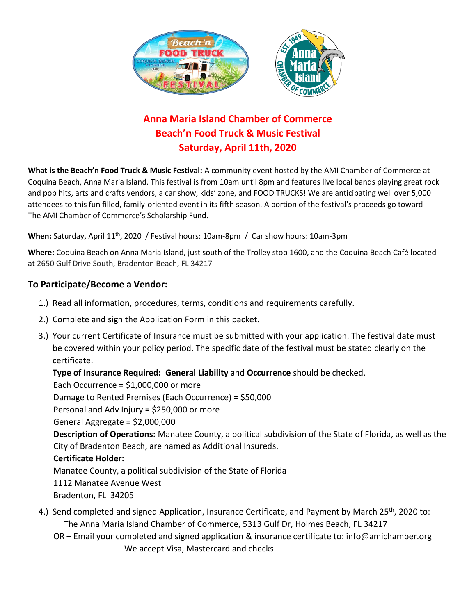

# **Anna Maria Island Chamber of Commerce Beach'n Food Truck & Music Festival Saturday, April 11th, 2020**

**What is the Beach'n Food Truck & Music Festival:** A community event hosted by the AMI Chamber of Commerce at Coquina Beach, Anna Maria Island. This festival is from 10am until 8pm and features live local bands playing great rock and pop hits, arts and crafts vendors, a car show, kids' zone, and FOOD TRUCKS! We are anticipating well over 5,000 attendees to this fun filled, family-oriented event in its fifth season. A portion of the festival's proceeds go toward The AMI Chamber of Commerce's Scholarship Fund.

When: Saturday, April 11<sup>th</sup>, 2020 / Festival hours: 10am-8pm / Car show hours: 10am-3pm

**Where:** Coquina Beach on Anna Maria Island, just south of the Trolley stop 1600, and the Coquina Beach Café located at 2650 Gulf Drive South, Bradenton Beach, FL 34217

## **To Participate/Become a Vendor:**

- 1.) Read all information, procedures, terms, conditions and requirements carefully.
- 2.) Complete and sign the Application Form in this packet.
- 3.) Your current Certificate of Insurance must be submitted with your application. The festival date must be covered within your policy period. The specific date of the festival must be stated clearly on the certificate.

## **Type of Insurance Required: General Liability** and **Occurrence** should be checked.

Each Occurrence =  $$1,000,000$  or more

Damage to Rented Premises (Each Occurrence) = \$50,000

Personal and Adv Injury = \$250,000 or more

General Aggregate = \$2,000,000

 **Description of Operations:** Manatee County, a political subdivision of the State of Florida, as well as the City of Bradenton Beach, are named as Additional Insureds.

### **Certificate Holder:**

Manatee County, a political subdivision of the State of Florida

1112 Manatee Avenue West

Bradenton, FL 34205

- 4.) Send completed and signed Application, Insurance Certificate, and Payment by March 25<sup>th</sup>, 2020 to: The Anna Maria Island Chamber of Commerce, 5313 Gulf Dr, Holmes Beach, FL 34217
	- OR Email your completed and signed application & insurance certificate to: info@amichamber.org We accept Visa, Mastercard and checks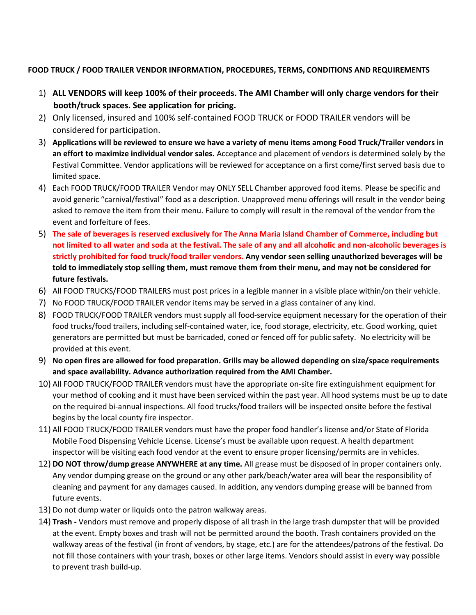#### **FOOD TRUCK / FOOD TRAILER VENDOR INFORMATION, PROCEDURES, TERMS, CONDITIONS AND REQUIREMENTS**

- 1) **ALL VENDORS will keep 100% of their proceeds. The AMI Chamber will only charge vendors for their booth/truck spaces. See application for pricing.**
- 2) Only licensed, insured and 100% self-contained FOOD TRUCK or FOOD TRAILER vendors will be considered for participation.
- 3) **Applications will be reviewed to ensure we have a variety of menu items among Food Truck/Trailer vendors in an effort to maximize individual vendor sales.** Acceptance and placement of vendors is determined solely by the Festival Committee. Vendor applications will be reviewed for acceptance on a first come/first served basis due to limited space.
- 4) Each FOOD TRUCK/FOOD TRAILER Vendor may ONLY SELL Chamber approved food items. Please be specific and avoid generic "carnival/festival" food as a description. Unapproved menu offerings will result in the vendor being asked to remove the item from their menu. Failure to comply will result in the removal of the vendor from the event and forfeiture of fees.
- 5) **The sale of beverages is reserved exclusively for The Anna Maria Island Chamber of Commerce, including but not limited to all water and soda at the festival. The sale of any and all alcoholic and non-alcoholic beverages is strictly prohibited for food truck/food trailer vendors. Any vendor seen selling unauthorized beverages will be told to immediately stop selling them, must remove them from their menu, and may not be considered for future festivals.**
- 6) All FOOD TRUCKS/FOOD TRAILERS must post prices in a legible manner in a visible place within/on their vehicle.
- 7) No FOOD TRUCK/FOOD TRAILER vendor items may be served in a glass container of any kind.
- 8) FOOD TRUCK/FOOD TRAILER vendors must supply all food-service equipment necessary for the operation of their food trucks/food trailers, including self-contained water, ice, food storage, electricity, etc. Good working, quiet generators are permitted but must be barricaded, coned or fenced off for public safety. No electricity will be provided at this event.
- 9) **No open fires are allowed for food preparation. Grills may be allowed depending on size/space requirements and space availability. Advance authorization required from the AMI Chamber.**
- 10) All FOOD TRUCK/FOOD TRAILER vendors must have the appropriate on-site fire extinguishment equipment for your method of cooking and it must have been serviced within the past year. All hood systems must be up to date on the required bi-annual inspections. All food trucks/food trailers will be inspected onsite before the festival begins by the local county fire inspector.
- 11) All FOOD TRUCK/FOOD TRAILER vendors must have the proper food handler's license and/or State of Florida Mobile Food Dispensing Vehicle License. License's must be available upon request. A health department inspector will be visiting each food vendor at the event to ensure proper licensing/permits are in vehicles.
- 12) **DO NOT throw/dump grease ANYWHERE at any time.** All grease must be disposed of in proper containers only. Any vendor dumping grease on the ground or any other park/beach/water area will bear the responsibility of cleaning and payment for any damages caused. In addition, any vendors dumping grease will be banned from future events.
- 13) Do not dump water or liquids onto the patron walkway areas.
- 14) **Trash -** Vendors must remove and properly dispose of all trash in the large trash dumpster that will be provided at the event. Empty boxes and trash will not be permitted around the booth. Trash containers provided on the walkway areas of the festival (in front of vendors, by stage, etc.) are for the attendees/patrons of the festival. Do not fill those containers with your trash, boxes or other large items. Vendors should assist in every way possible to prevent trash build-up.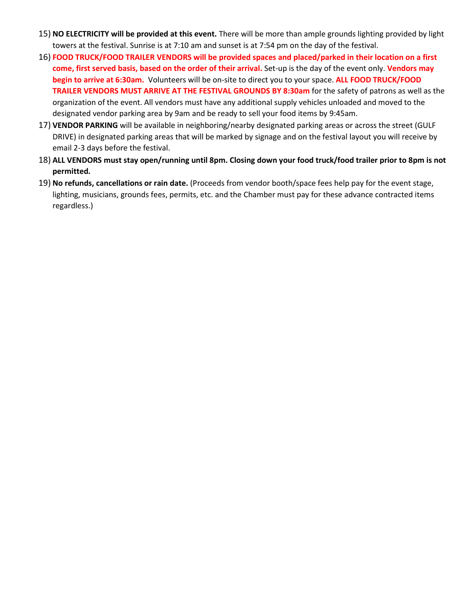- 15) **NO ELECTRICITY will be provided at this event.** There will be more than ample grounds lighting provided by light towers at the festival. Sunrise is at 7:10 am and sunset is at 7:54 pm on the day of the festival.
- 16) **FOOD TRUCK/FOOD TRAILER VENDORS will be provided spaces and placed/parked in their location on a first come, first served basis, based on the order of their arrival.** Set-up is the day of the event only. **Vendors may begin to arrive at 6:30am.** Volunteers will be on-site to direct you to your space. **ALL FOOD TRUCK/FOOD TRAILER VENDORS MUST ARRIVE AT THE FESTIVAL GROUNDS BY 8:30am** for the safety of patrons as well as the organization of the event. All vendors must have any additional supply vehicles unloaded and moved to the designated vendor parking area by 9am and be ready to sell your food items by 9:45am.
- 17) **VENDOR PARKING** will be available in neighboring/nearby designated parking areas or across the street (GULF DRIVE) in designated parking areas that will be marked by signage and on the festival layout you will receive by email 2-3 days before the festival.
- 18) **ALL VENDORS must stay open/running until 8pm. Closing down your food truck/food trailer prior to 8pm is not permitted.**
- 19) **No refunds, cancellations or rain date.** (Proceeds from vendor booth/space fees help pay for the event stage, lighting, musicians, grounds fees, permits, etc. and the Chamber must pay for these advance contracted items regardless.)